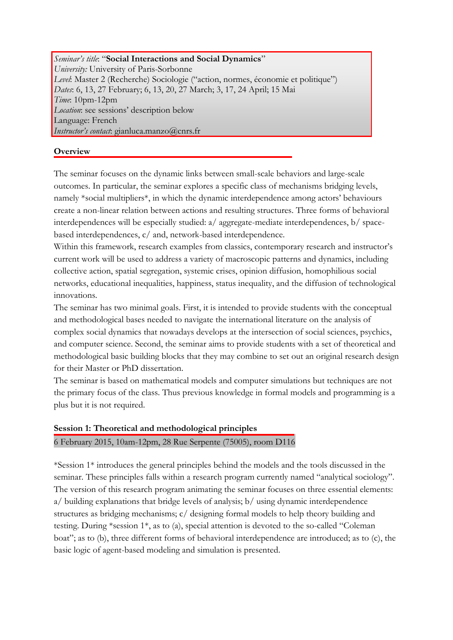*Seminar's title*: "**Social Interactions and Social Dynamics**" *University:* University of Paris-Sorbonne *Level*: Master 2 (Recherche) Sociologie ("action, normes, économie et politique") *Dates*: 6, 13, 27 February; 6, 13, 20, 27 March; 3, 17, 24 April; 15 Mai *Time*: 10pm-12pm *Location*: see sessions' description below Language: French *Instructor's contact*: gianluca.manzo@cnrs.fr

## **Overview**

The seminar focuses on the dynamic links between small-scale behaviors and large-scale outcomes. In particular, the seminar explores a specific class of mechanisms bridging levels, namely \*social multipliers\*, in which the dynamic interdependence among actors' behaviours create a non-linear relation between actions and resulting structures. Three forms of behavioral interdependences will be especially studied: a/ aggregate-mediate interdependences, b/ spacebased interdependences, c/ and, network-based interdependence.

Within this framework, research examples from classics, contemporary research and instructor's current work will be used to address a variety of macroscopic patterns and dynamics, including collective action, spatial segregation, systemic crises, opinion diffusion, homophilious social networks, educational inequalities, happiness, status inequality, and the diffusion of technological innovations.

The seminar has two minimal goals. First, it is intended to provide students with the conceptual and methodological bases needed to navigate the international literature on the analysis of complex social dynamics that nowadays develops at the intersection of social sciences, psychics, and computer science. Second, the seminar aims to provide students with a set of theoretical and methodological basic building blocks that they may combine to set out an original research design for their Master or PhD dissertation.

The seminar is based on mathematical models and computer simulations but techniques are not the primary focus of the class. Thus previous knowledge in formal models and programming is a plus but it is not required.

# **Session 1: Theoretical and methodological principles** 6 February 2015, 10am-12pm, 28 Rue Serpente (75005), room D116

\*Session 1\* introduces the general principles behind the models and the tools discussed in the seminar. These principles falls within a research program currently named "analytical sociology". The version of this research program animating the seminar focuses on three essential elements: a/ building explanations that bridge levels of analysis; b/ using dynamic interdependence structures as bridging mechanisms; c/ designing formal models to help theory building and testing. During \*session 1\*, as to (a), special attention is devoted to the so-called "Coleman boat"; as to (b), three different forms of behavioral interdependence are introduced; as to (c), the basic logic of agent-based modeling and simulation is presented.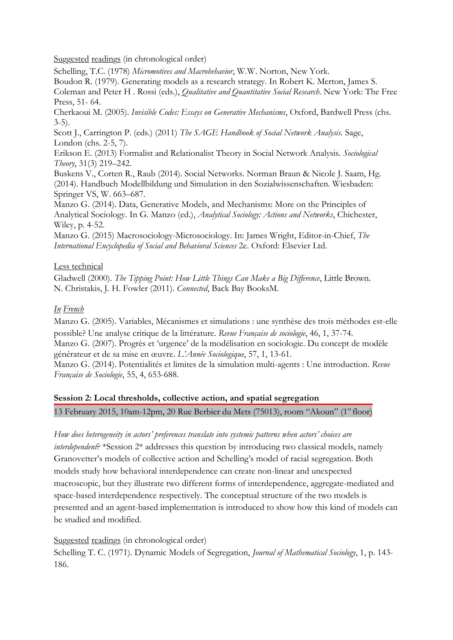Suggested readings (in chronological order)

Schelling, T.C. (1978) *Micromotives and Macrobehavior*, W.W. Norton, New York.

Boudon R. (1979). Generating models as a research strategy. In Robert K. Merton, James S.

Coleman and Peter H . Rossi (eds.), *Qualitative and Quantitative Social Research.* New York: The Free Press, 51- 64.

Cherkaoui M. (2005). *Invisible Codes: Essays on Generative Mechanisms*, Oxford, Bardwell Press (chs. 3-5).

Scott J., Carrington P. (eds.) (2011) *The SAGE Handbook of Social Network Analysis.* Sage, London (chs. 2-5, 7).

Erikson E. (2013) Formalist and Relationalist Theory in Social Network Analysis. *Sociological Theory*, 31(3) 219–242.

Buskens V., Corten R., Raub (2014). Social Networks. Norman Braun & Nicole J. Saam, Hg. (2014). Handbuch Modellbildung und Simulation in den Sozialwissenschaften. Wiesbaden: Springer VS, W. 663–687.

Manzo G. (2014). Data, Generative Models, and Mechanisms: More on the Principles of Analytical Sociology. In G. Manzo (ed.), *Analytical Sociology: Actions and Networks*, Chichester, Wiley, p. 4-52.

Manzo G. (2015) Macrosociology-Microsociology. In: James Wright, Editor-in-Chief, *The International Encyclopedia of Social and Behavioral Sciences* 2e. Oxford: Elsevier Ltd.

### Less technical

Gladwell (2000). *The Tipping Point: How Little Things Can Make a Big Difference*, Little Brown. N. Christakis, J. H. Fowler (2011). *Connected*, Back Bay BooksM.

## *In French*

Manzo G. (2005). Variables, Mécanismes et simulations : une synthèse des trois méthodes est-elle possible? Une analyse critique de la littérature. *Revue Française de sociologie*, 46, 1, 37-74. Manzo G. (2007). Progrès et 'urgence' de la modélisation en sociologie. Du concept de modèle générateur et de sa mise en œuvre. *L'Année Sociologique*, 57, 1, 13-61. Manzo G. (2014). Potentialités et limites de la simulation multi-agents : Une introduction. *Revue* 

*Française de Sociologie*, 55, 4, 653-688.

### **Session 2: Local thresholds, collective action, and spatial segregation**

13 February 2015, 10am-12pm, 20 Rue Berbier du Mets (75013), room "Akoun" (1<sup>st</sup> floor)

*How does heterogeneity in actors' preferences translate into systemic patterns when actors' choices are interdependent*? \*Session 2\* addresses this question by introducing two classical models, namely Granovetter's models of collective action and Schelling's model of racial segregation. Both models study how behavioral interdependence can create non-linear and unexpected macroscopic, but they illustrate two different forms of interdependence, aggregate-mediated and space-based interdependence respectively. The conceptual structure of the two models is presented and an agent-based implementation is introduced to show how this kind of models can be studied and modified.

### Suggested readings (in chronological order)

Schelling T. C. (1971). Dynamic Models of Segregation, *Journal of Mathematical Sociology*, 1, p. 143- 186.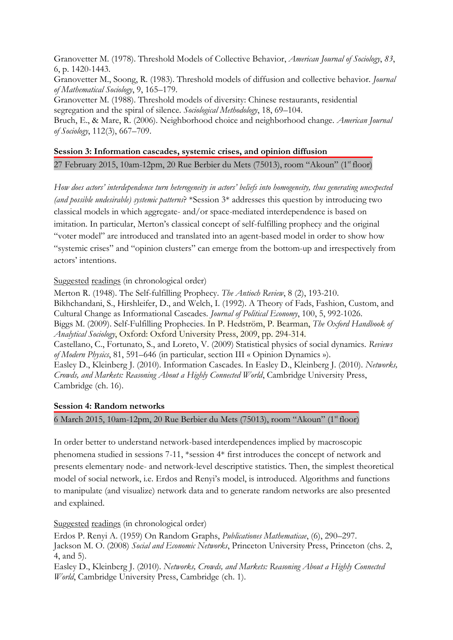Granovetter M. (1978). Threshold Models of Collective Behavior, *American Journal of Sociology*, *83*, 6, p. 1420-1443.

Granovetter M., Soong, R. (1983). Threshold models of diffusion and collective behavior. *Journal of Mathematical Sociology*, 9, 165–179.

Granovetter M. (1988). Threshold models of diversity: Chinese restaurants, residential segregation and the spiral of silence. *Sociological Methodology*, 18, 69–104.

Bruch, E., & Mare, R. (2006). Neighborhood choice and neighborhood change. *American Journal of Sociology*, 112(3), 667–709.

# **Session 3: Information cascades, systemic crises, and opinion diffusion** 27 February 2015, 10am-12pm, 20 Rue Berbier du Mets (75013), room "Akoun" (1<sup>st</sup> floor)

*How does actors' interdependence turn heterogeneity in actors' beliefs into homogeneity, thus generating unexpected (and possible undesirable) systemic patterns*? \*Session 3\* addresses this question by introducing two classical models in which aggregate- and/or space-mediated interdependence is based on imitation. In particular, Merton's classical concept of self-fulfilling prophecy and the original "voter model" are introduced and translated into an agent-based model in order to show how "systemic crises" and "opinion clusters" can emerge from the bottom-up and irrespectively from actors' intentions.

### Suggested readings (in chronological order)

Merton R. (1948). The Self-fulfilling Prophecy. *The Antioch Review*, 8 (2), 193-210. Bikhchandani, S., [Hirshleifer, D.](http://en.wikipedia.org/wiki/David_Hirshleifer), and [Welch, I.](http://en.wikipedia.org/wiki/Ivo_Welch) (1992). A Theory of Fads, Fashion, Custom, and Cultural Change as Informational Cascades. *Journal of Political Economy*, 100, 5, 992-1026. Biggs M. (2009). Self-Fulfilling Prophecies. In P. Hedström, P. Bearman, *The Oxford Handbook of Analytical Sociology*, Oxford: Oxford University Press, 2009, pp. 294-314. Castellano, C., Fortunato, S., and Loreto, V. (2009) Statistical physics of social dynamics. *Reviews of Modern Physics*, 81, 591–646 (in particular, section III « Opinion Dynamics »). Easley D., Kleinberg J. (2010). Information Cascades. In Easley D., Kleinberg J. (2010). *Networks, Crowds, and Markets: Reasoning About a Highly Connected World*, Cambridge University Press, Cambridge (ch. 16).

#### **Session 4: Random networks**

6 March 2015, 10am-12pm, 20 Rue Berbier du Mets (75013), room "Akoun" (1 st floor)

In order better to understand network-based interdependences implied by macroscopic phenomena studied in sessions 7-11, \*session 4\* first introduces the concept of network and presents elementary node- and network-level descriptive statistics. Then, the simplest theoretical model of social network, i.e. Erdos and Renyi's model, is introduced. Algorithms and functions to manipulate (and visualize) network data and to generate random networks are also presented and explained.

### Suggested readings (in chronological order)

Erdos P. Renyi A. (1959) On Random Graphs, *Publicationes Mathematicae*, (6), 290–297. Jackson M. O. (2008) *Social and Economic Networks*, Princeton University Press, Princeton (chs. 2, 4, and 5).

Easley D., Kleinberg J. (2010). *Networks, Crowds, and Markets: Reasoning About a Highly Connected World*, Cambridge University Press, Cambridge (ch. 1).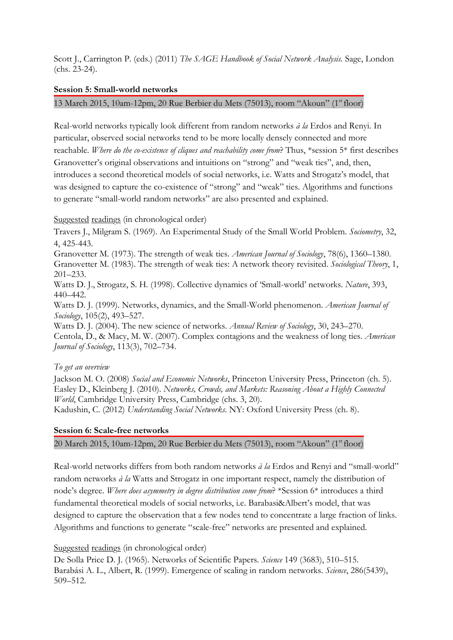Scott J., Carrington P. (eds.) (2011) *The SAGE Handbook of Social Network Analysis.* Sage, London (chs. 23-24).

### **Session 5: Small-world networks**

13 March 2015, 10am-12pm, 20 Rue Berbier du Mets (75013), room "Akoun" (1st floor)

Real-world networks typically look different from random networks *à la* Erdos and Renyi. In particular, observed social networks tend to be more locally densely connected and more reachable. *Where do the co-existence of cliques and reachability come from*? Thus, \*session 5\* first describes Granovetter's original observations and intuitions on "strong" and "weak ties", and, then, introduces a second theoretical models of social networks, i.e. Watts and Strogatz's model, that was designed to capture the co-existence of "strong" and "weak" ties. Algorithms and functions to generate "small-world random networks" are also presented and explained.

#### Suggested readings (in chronological order)

Travers J., Milgram S. (1969). An Experimental Study of the Small World Problem. *Sociometry*, 32, 4, 425-443.

Granovetter M. (1973). The strength of weak ties. *American Journal of Sociology*, 78(6), 1360–1380.

Granovetter M. (1983). The strength of weak ties: A network theory revisited. *Sociological Theory*, 1, 201–233.

Watts D. J., Strogatz, S. H. (1998). Collective dynamics of 'Small-world' networks. *Nature*, 393, 440–442.

Watts D. J. (1999). Networks, dynamics, and the Small-World phenomenon. *American Journal of Sociology*, 105(2), 493–527.

Watts D. J. (2004). The new science of networks. *Annual Review of Sociology*, 30, 243–270. Centola, D., & Macy, M. W. (2007). Complex contagions and the weakness of long ties. *American Journal of Sociology*, 113(3), 702–734.

#### *To get an overview*

Jackson M. O. (2008) *Social and Economic Networks*, Princeton University Press, Princeton (ch. 5). Easley D., Kleinberg J. (2010). *Networks, Crowds, and Markets: Reasoning About a Highly Connected World*, Cambridge University Press, Cambridge (chs. 3, 20). Kadushin, C. (2012) *Understanding Social Networks*. NY: Oxford University Press (ch. 8).

#### **Session 6: Scale-free networks**

20 March 2015, 10am-12pm, 20 Rue Berbier du Mets (75013), room "Akoun" (1<sup>st</sup> floor)

Real-world networks differs from both random networks *à la* Erdos and Renyi and "small-world" random networks *à la* Watts and Strogatz in one important respect, namely the distribution of node's degree. *Where does asymmetry in degree distribution come from*? \*Session 6\* introduces a third fundamental theoretical models of social networks, i.e. Barabasi&Albert's model, that was designed to capture the observation that a few nodes tend to concentrate a large fraction of links. Algorithms and functions to generate "scale-free" networks are presented and explained.

#### Suggested readings (in chronological order)

De Solla Price D. J. (1965). Networks of Scientific Papers. *Science* 149 (3683), 510–515. Barabási A. L., Albert, R. (1999). Emergence of scaling in random networks. *Science*, 286(5439), 509–512.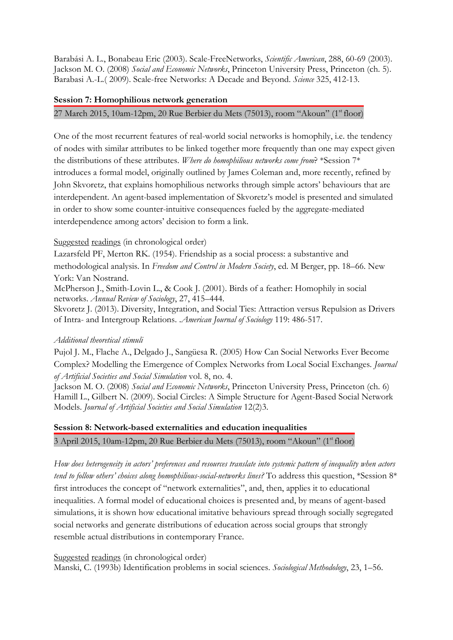Barabási A. L., Bonabeau Eric (2003). Scale-FreeNetworks, *Scientific American*, 288, 60-69 (2003). Jackson M. O. (2008) *Social and Economic Networks*, Princeton University Press, Princeton (ch. 5). Barabasi A.-L.( 2009). Scale-free Networks: A Decade and Beyond. *Science* 325, 412-13.

#### **Session 7: Homophilious network generation**

27 March 2015, 10am-12pm, 20 Rue Berbier du Mets (75013), room "Akoun" (1<sup>st</sup> floor)

One of the most recurrent features of real-world social networks is homophily, i.e. the tendency of nodes with similar attributes to be linked together more frequently than one may expect given the distributions of these attributes. *Where do homophilious networks come from*? \*Session 7\* introduces a formal model, originally outlined by James Coleman and, more recently, refined by John Skvoretz, that explains homophilious networks through simple actors' behaviours that are interdependent. An agent-based implementation of Skvoretz's model is presented and simulated in order to show some counter-intuitive consequences fueled by the aggregate-mediated interdependence among actors' decision to form a link.

#### Suggested readings (in chronological order)

Lazarsfeld PF, Merton RK. (1954). Friendship as a social process: a substantive and methodological analysis. In *Freedom and Control in Modern Society*, ed. M Berger, pp. 18–66. New York: Van Nostrand.

McPherson J., Smith-Lovin L., & Cook J. (2001). Birds of a feather: Homophily in social networks. *Annual Review of Sociology*, 27, 415–444.

Skvoretz J. (2013). Diversity, Integration, and Social Ties: Attraction versus Repulsion as Drivers of Intra- and Intergroup Relations. .*American Journal of Sociology* 119: 486-517.

#### *Additional theoretical stimuli*

Pujol J. M., Flache A., Delgado J., Sangüesa R. (2005) How Can Social Networks Ever Become Complex? Modelling the Emergence of Complex Networks from Local Social Exchanges. *Journal of Artificial Societies and Social Simulation* vol. 8, no. 4.

Jackson M. O. (2008) *Social and Economic Networks*, Princeton University Press, Princeton (ch. 6) Hamill L., Gilbert N. (2009). Social Circles: A Simple Structure for Agent-Based Social Network Models. *Journal of Artificial Societies and Social Simulation* 12(2)3.

# **Session 8: Network-based externalities and education inequalities**

3 April 2015, 10am-12pm, 20 Rue Berbier du Mets (75013), room "Akoun" (1<sup>st</sup> floor)

*How does heterogeneity in actors' preferences and resources translate into systemic pattern of inequality when actors tend to follow others' choices along homophilious-social-networks lines?* To address this question, \*Session 8\* first introduces the concept of "network externalities", and, then, applies it to educational inequalities. A formal model of educational choices is presented and, by means of agent-based simulations, it is shown how educational imitative behaviours spread through socially segregated social networks and generate distributions of education across social groups that strongly resemble actual distributions in contemporary France.

#### Suggested readings (in chronological order)

Manski, C. (1993b) Identification problems in social sciences. *Sociological Methodology*, 23, 1–56.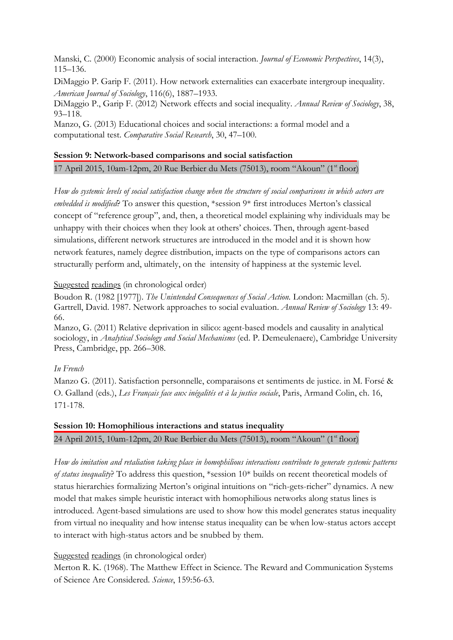Manski, C. (2000) Economic analysis of social interaction. *Journal of Economic Perspectives*, 14(3), 115–136.

DiMaggio P. Garip F. (2011). How network externalities can exacerbate intergroup inequality. *American Journal of Sociology*, 116(6), 1887–1933.

DiMaggio P., Garip F. (2012) Network effects and social inequality. *Annual Review of Sociology*, 38, 93–118.

Manzo, G. (2013) Educational choices and social interactions: a formal model and a computational test. *Comparative Social Research*, 30, 47–100.

### **Session 9: Network-based comparisons and social satisfaction**

17 April 2015, 10am-12pm, 20 Rue Berbier du Mets (75013), room "Akoun" (1<sup>st</sup> floor)

*How do systemic levels of social satisfaction change when the structure of social comparisons in which actors are embedded is modified*? To answer this question, \*session 9\* first introduces Merton's classical concept of "reference group", and, then, a theoretical model explaining why individuals may be unhappy with their choices when they look at others' choices. Then, through agent-based simulations, different network structures are introduced in the model and it is shown how network features, namely degree distribution, impacts on the type of comparisons actors can structurally perform and, ultimately, on the intensity of happiness at the systemic level.

### Suggested readings (in chronological order)

Boudon R. (1982 [1977]). *The Unintended Consequences of Social Action.* London: Macmillan (ch. 5). Gartrell, David. 1987. Network approaches to social evaluation. *Annual Review of Sociology* 13: 49- 66.

Manzo, G. (2011) Relative deprivation in silico: agent-based models and causality in analytical sociology, in *Analytical Sociology and Social Mechanisms* (ed. P. Demeulenaere), Cambridge University Press, Cambridge, pp. 266–308.

### *In French*

Manzo G. (2011). Satisfaction personnelle, comparaisons et sentiments de justice. in M. Forsé & O. Galland (eds.), *Les Français face aux inégalités et à la justice sociale*, Paris, Armand Colin, ch. 16, 171-178.

**Session 10: Homophilious interactions and status inequality** 24 April 2015, 10am-12pm, 20 Rue Berbier du Mets (75013), room "Akoun" (1<sup>st</sup> floor)

*How do imitation and retaliation taking place in homophilious interactions contribute to generate systemic patterns of status inequality*? To address this question, \*session 10\* builds on recent theoretical models of status hierarchies formalizing Merton's original intuitions on "rich-gets-richer" dynamics. A new model that makes simple heuristic interact with homophilious networks along status lines is introduced. Agent-based simulations are used to show how this model generates status inequality from virtual no inequality and how intense status inequality can be when low-status actors accept to interact with high-status actors and be snubbed by them.

### Suggested readings (in chronological order)

Merton R. K. (1968). The Matthew Effect in Science. The Reward and Communication Systems of Science Are Considered. *Science*, 159:56-63.